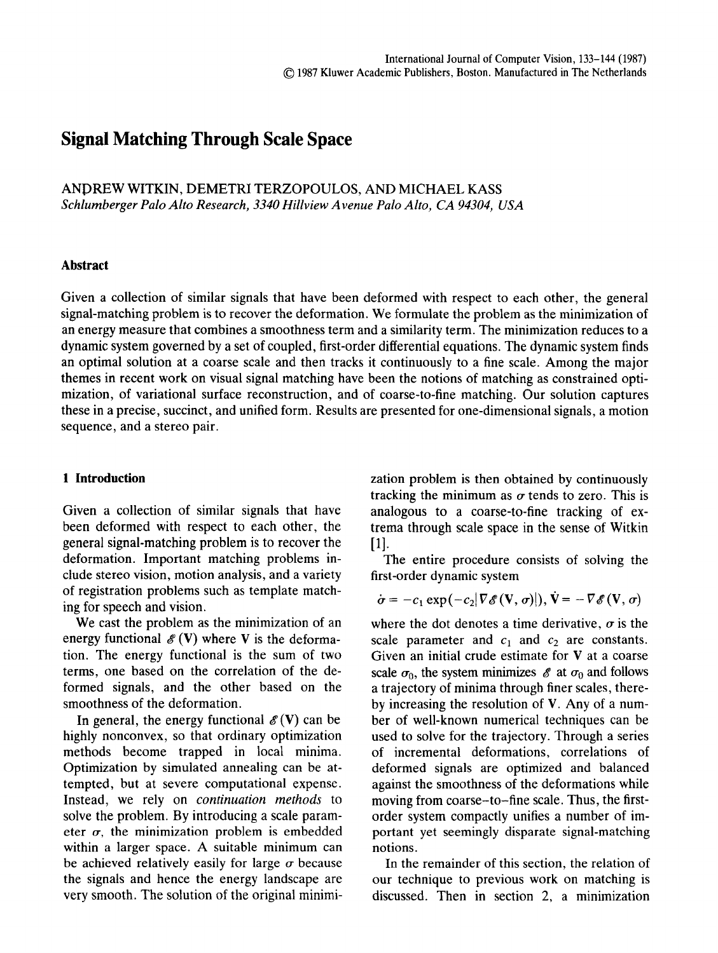# **Signal Matching Through Scale Space**

ANDREW WITKIN, DEMETRI TERZOPOULOS, AND MICHAEL KASS *Schlumberger Palo Alto Research, 3340 Hillview Avenue Palo Alto, CA 94304, USA* 

#### **Abstract**

Given a collection of similar signals that have been deformed with respect to each other, the general signal-matching problem is to recover the deformation. We formulate the problem as the minimization of an energy measure that combines a smoothness term and a similarity term. The minimization reduces to a dynamic system governed by a set of coupled, first-order differential equations. The dynamic system finds an optimal solution at a coarse scale and then tracks it continuously to a fine scale. Among the major themes in recent work on visual signal matching have been the notions of matching as constrained optimization, of variational surface reconstruction, and of coarse-to-fine matching. Our solution captures these in a precise, succinct, and unified form. Results are presented for one-dimensional signals, a motion sequence, and a stereo pair.

## **1 Introduction**

Given a collection of similar signals that have been deformed with respect to each other, the general signal-matching problem is to recover the deformation. Important matching problems include stereo vision, motion analysis, and a variety of registration problems such as template matching for speech and vision.

We cast the problem as the minimization of an energy functional  $\mathscr{E}$  (V) where V is the deformation. The energy functional is the sum of two terms, one based on the correlation of the deformed signals, and the other based on the smoothness of the deformation.

In general, the energy functional  $\mathscr{E}(V)$  can be highly nonconvex, so that ordinary optimization methods become trapped in local minima. Optimization by simulated annealing can be attempted, but at severe computational expense. Instead, we rely on *continuation methods* to solve the problem. By introducing a scale parameter  $\sigma$ , the minimization problem is embedded within a larger space. A suitable minimum can be achieved relatively easily for large  $\sigma$  because the signals and hence the energy landscape are very smooth. The solution of the original minimization problem is then obtained by continuously tracking the minimum as  $\sigma$  tends to zero. This is analogous to a coarse-to-fine tracking of extrema through scale space in the sense of Witkin [1].

The entire procedure consists of solving the first-order dynamic system

$$
\dot{\boldsymbol{\sigma}} = -c_1 \exp(-c_2 |\nabla \mathscr{E}(\mathbf{V}, \boldsymbol{\sigma})|), \mathbf{V} = -\nabla \mathscr{E}(\mathbf{V}, \boldsymbol{\sigma})
$$

where the dot denotes a time derivative,  $\sigma$  is the scale parameter and  $c_1$  and  $c_2$  are constants. Given an initial crude estimate for V at a coarse scale  $\sigma_0$ , the system minimizes  $\mathscr E$  at  $\sigma_0$  and follows a trajectory of minima through finer scales, thereby increasing the resolution of V. Any of a number of well-known numerical techniques can be used to solve for the trajectory. Through a series of incremental deformations, correlations of deformed signals are optimized and balanced against the smoothness of the deformations while moving from coarse-to-fine scale. Thus, the firstorder system compactly unifies a number of important yet seemingly disparate signal-matching notions.

In the remainder of this section, the relation of our technique to previous work on matching is discussed. Then in section 2, a minimization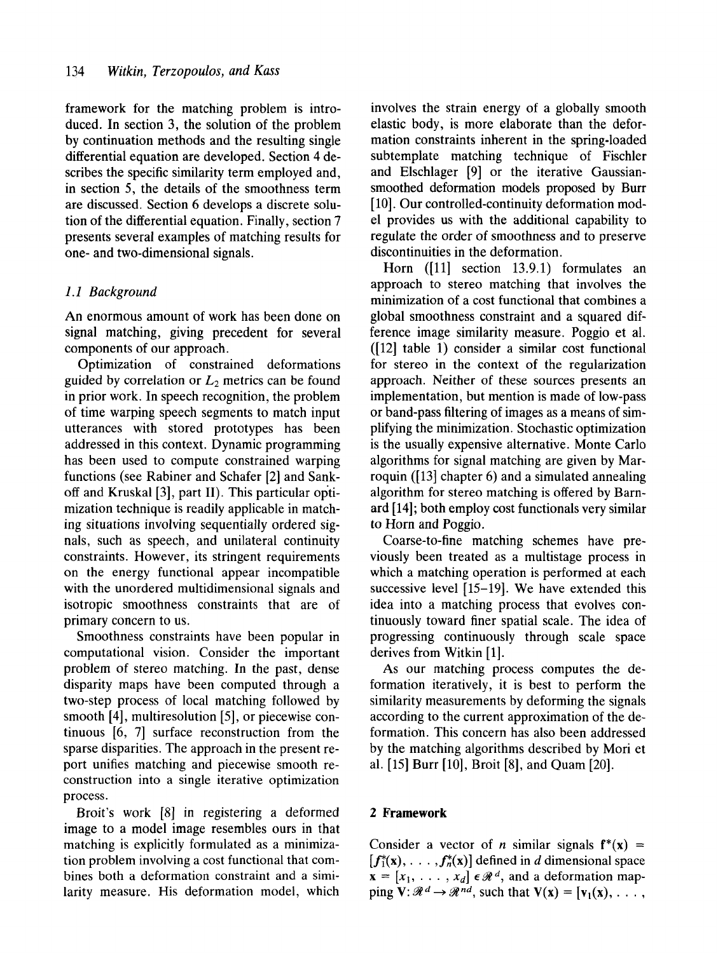framework for the matching problem is introduced. In section 3, the solution of the problem by continuation methods and the resulting single differential equation are developed. Section 4 describes the specific similarity term employed and, in section 5, the details of the smoothness term are discussed. Section 6 develops a discrete solution of the differential equation. Finally, section 7 presents several examples of matching results for one- and two-dimensional signals.

# *1.1 Background*

An enormous amount of work has been done on signal matching, giving precedent for several components of our approach.

Optimization of constrained deformations guided by correlation or  $L_2$  metrics can be found in prior work. In speech recognition, the problem of time warping speech segments to match input utterances with stored prototypes has been addressed in this context. Dynamic programming has been used to compute constrained warping functions (see Rabiner and Schafer [2] and Sankoff and Kruskal  $[3]$ , part II). This particular optimization technique is readily applicable in matching situations involving sequentially ordered signals, such as speech, and unilateral continuity constraints. However, its stringent requirements on the energy functional appear incompatible with the unordered multidimensional signals and isotropic smoothness constraints that are of primary concern to us.

Smoothness constraints have been popular in computational vision. Consider the important problem of stereo matching. In the past, dense disparity maps have been computed through a two-step process of local matching followed by smooth [4], multiresolution [5], or piecewise continuous [6, 7] surface reconstruction from the sparse disparities. The approach in the present report unifies matching and piecewise smooth reconstruction into a single iterative optimization process.

Broit's work [8] in registering a deformed image to a model image resembles ours in that matching is explicitly formulated as a minimization problem involving a cost functional that combines both a deformation constraint and a similarity measure. His deformation model, which

involves the strain energy of a globally smooth elastic body, is more elaborate than the deformation constraints inherent in the spring-loaded subtemplate matching technique of Fischler and Elschlager [9] or the iterative Gaussiansmoothed deformation models proposed by Burr [10]. Our controlled-continuity deformation model provides us with the additional capability to regulate the order of smoothness and to preserve discontinuities in the deformation.

Horn ([11] section 13.9.1) formulates an approach to stereo matching that involves the minimization of a cost functional that combines a global smoothness constraint and a squared difference image similarity measure. Poggio et al. ([12] table 1) consider a similar cost functional for stereo in the context of the regularization approach. Neither of these sources presents an implementation, but mention is made of low-pass or band-pass filtering of images as a means of simplifying the minimization. Stochastic optimization is the usually expensive alternative. Monte Carlo algorithms for signal matching are given by Marroquin ([13] chapter 6) and a simulated annealing algorithm for stereo matching is offered by Barnard [14]; both employ cost functionals very similar to Horn and Poggio.

Coarse-to-fine matching schemes have previously been treated as a multistage process in which a matching operation is performed at each successive level [15-19]. We have extended this idea into a matching process that evolves continuously toward finer spatial scale. The idea of progressing continuously through scale space derives from Witkin [1].

As our matching process computes the deformation iteratively, it is best to perform the similarity measurements by deforming the signals according to the current approximation of the deformation. This concern has also been addressed by the matching algorithms described by Mori et al. [15] Burr [10], Broit [8], and Quam [20].

## **2 Framework**

Consider a vector of *n* similar signals  $f^*(x)$  =  $[f_1^*(x), \ldots, f_n^*(x)]$  defined in d dimensional space  $\mathbf{x} = [x_1, \ldots, x_d] \in \mathcal{R}^d$ , and a deformation mapping  $V: \mathcal{R}^d \to \mathcal{R}^{nd}$ , such that  $V(x) = [v_1(x), \ldots]$ ,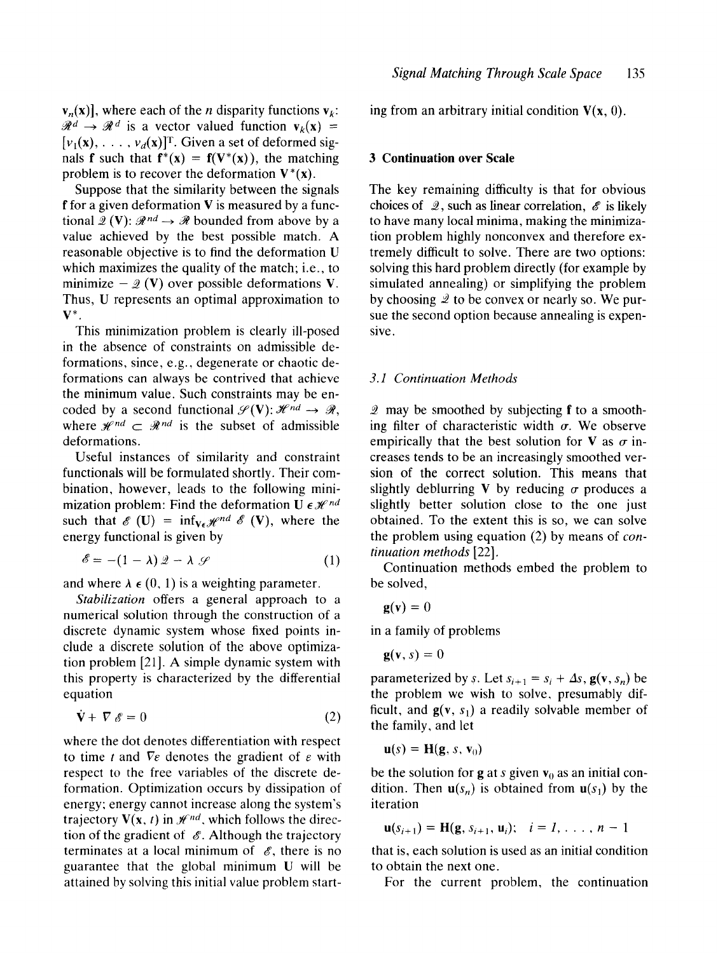$\mathbf{v}_n(\mathbf{x})$ , where each of the *n* disparity functions  $\mathbf{v}_k$ :  $\mathcal{R}^d \rightarrow \mathcal{R}^d$  is a vector valued function  $v_k(x)$  =  $[v_1(\mathbf{x}), \ldots, v_d(\mathbf{x})]^\text{T}$ . Given a set of deformed signals **f** such that  $f^*(x) = f(V^*(x))$ , the matching problem is to recover the deformation  $V^*(x)$ .

Suppose that the similarity between the signals f for a given deformation  $V$  is measured by a functional  $\mathscr{L}(\mathbf{V})$ :  $\mathscr{R}^{nd} \to \mathscr{R}$  bounded from above by a value achieved by the best possible match. A reasonable objective is to find the deformation U which maximizes the quality of the match; i.e., to minimize  $-2$  (V) over possible deformations V. Thus, U represents an optimal approximation to  $V^*$ .

This minimization problem is clearly ill-posed in the absence of constraints on admissible deformations, since, e.g., degenerate or chaotic deformations can always be contrived that achieve the minimum value. Such constraints may be encoded by a second functional  $\mathcal{S}(V)$ :  $\mathcal{H}^{nd} \rightarrow \mathcal{R}$ , where  $\mathcal{H}^{nd} \subset \mathcal{R}^{nd}$  is the subset of admissible deformations.

Useful instances of similarity and constraint functionals will be formulated shortly. Their combination, however, leads to the following minimization problem: Find the deformation  $\mathbf{U} \in \mathcal{H}^{nd}$ such that  $\mathscr{E}(U) = \inf_{V \in \mathscr{H}}^{\rho nd} \mathscr{E}(V)$ , where the energy functional is given by

$$
\mathscr{E} = -(1 - \lambda) \mathscr{Q} - \lambda \mathscr{L} \tag{1}
$$

and where  $\lambda \in (0, 1)$  is a weighting parameter.

*Stabilization* offers a general approach to a numerical solution through the construction of a discrete dynamic system whose fixed points include a discrete solution of the above optimization problem [21]. A simple dynamic system with this property is characterized by the differential equation

$$
\dot{\mathbf{V}} + \nabla \mathcal{E} = 0 \tag{2}
$$

where the dot denotes differentiation with respect to time t and  $\nabla \varepsilon$  denotes the gradient of  $\varepsilon$  with respect to the free variables of the discrete deformation. Optimization occurs by dissipation of energy; energy cannot increase along the system's trajectory  $V(x, t)$  in  $\mathcal{H}^{nd}$ , which follows the direction of the gradient of  $\mathscr E$ . Although the trajectory terminates at a local minimum of  $\mathscr{E}$ , there is no guarantee that the global minimum U will be attained by solving this initial value problem starting from an arbitrary initial condition  $V(x, 0)$ .

## **3 Continuation over Scale**

The key remaining difficulty is that for obvious choices of  $\mathcal{Q}$ , such as linear correlation,  $\mathcal{E}$  is likely to have many local minima, making the minimization problem highly nonconvex and therefore extremely difficult to solve. There are two options: solving this hard problem directly (for example by simulated annealing) or simplifying the problem by choosing  $\mathcal Q$  to be convex or nearly so. We pursue the second option because annealing is expensive.

#### *3.1 Continuation Methods*

 $2$  may be smoothed by subjecting  $f$  to a smoothing filter of characteristic width  $\sigma$ . We observe empirically that the best solution for V as  $\sigma$  increases tends to be an increasingly smoothed version of the correct solution. This means that slightly deblurring V by reducing  $\sigma$  produces a slightly better solution close to the one just obtained. To the extent this is so, we can solve the problem using equation (2) by means of *continuation methods* [22],

Continuation methods embed the problem to be solved,

$$
\mathbf{g}(\mathbf{v})=0
$$

in a family of problems

$$
\mathbf{g}(\mathbf{v},s)=0
$$

parameterized by s. Let  $s_{i+1} = s_i + \Delta s$ ,  $\mathbf{g}(\mathbf{v}, s_n)$  be the problem we wish to solve, presumably difficult, and  $g(v, s_1)$  a readily solvable member of the family, and let

$$
\mathbf{u}(s) = \mathbf{H}(\mathbf{g}, s, \mathbf{v}_0)
$$

be the solution for **g** at *s* given  $v_0$  as an initial condition. Then  $\mathbf{u}(s_n)$  is obtained from  $\mathbf{u}(s_1)$  by the iteration

$$
\mathbf{u}(s_{i+1}) = \mathbf{H}(\mathbf{g}, s_{i+1}, \mathbf{u}_i); \quad i = 1, \ldots, n-1
$$

that is, each solution is used as an initial condition to obtain the next one.

For the current problem, the continuation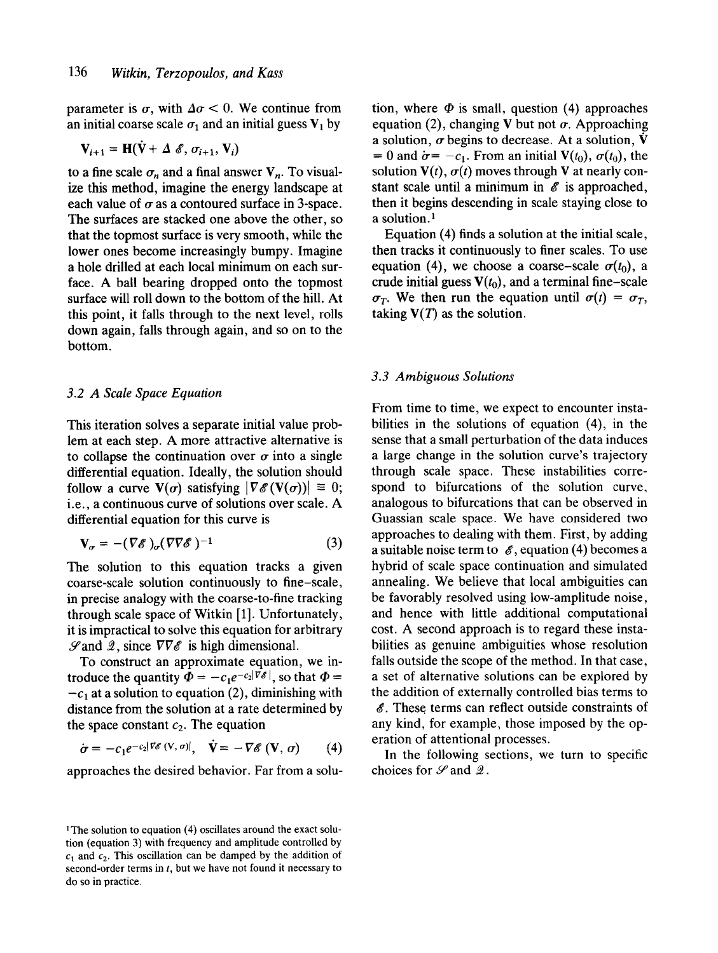parameter is  $\sigma$ , with  $\Delta \sigma$  < 0. We continue from an initial coarse scale  $\sigma_1$  and an initial guess  $V_1$  by

$$
\mathbf{V}_{i+1} = \mathbf{H}(\mathbf{V} + \Delta \mathcal{E}, \sigma_{i+1}, \mathbf{V}_i)
$$

to a fine scale  $\sigma_n$  and a final answer  $V_n$ . To visualize this method, imagine the energy landscape at each value of  $\sigma$  as a contoured surface in 3-space. The surfaces are stacked one above the other, so that the topmost surface is very smooth, while the lower ones become increasingly bumpy. Imagine a hole drilled at each local minimum on each surface. A ball bearing dropped onto the topmost surface will roll down to the bottom of the hill. At this point, it falls through to the next level, rolls down again, falls through again, and so on to the bottom.

#### *3.2 A Scale Space Equation*

This iteration solves a separate initial value problem at each step. A more attractive alternative is to collapse the continuation over  $\sigma$  into a single differential equation. Ideally, the solution should follow a curve  $\mathbf{V}(\sigma)$  satisfying  $|\nabla \mathscr{E}(\mathbf{V}(\sigma))| \equiv 0;$ i.e., a continuous curve of solutions over scale. A differential equation for this curve is

$$
\mathbf{V}_{\sigma} = -(\nabla \mathscr{E})_{\sigma} (\nabla \nabla \mathscr{E})^{-1} \tag{3}
$$

The solution to this equation tracks a given coarse-scale solution continuously to fine-scale, in precise analogy with the coarse-to-fine tracking through scale space of Witkin [1]. Unfortunately, it is impractical to solve this equation for arbitrary  $\mathscr{S}$  and  $\mathscr{Q}$ , since  $\nabla \nabla \mathscr{E}$  is high dimensional.

To construct an approximate equation, we introduce the quantity  $\Phi = -c_1e^{-c_2|\nabla \mathscr{E}|}$ , so that  $\Phi =$  $-c<sub>1</sub>$  at a solution to equation (2), diminishing with distance from the solution at a rate determined by the space constant  $c_2$ . The equation

$$
\dot{\sigma} = -c_1 e^{-c_2 |\nabla \mathscr{E}(\mathbf{V}, \sigma)|}, \quad \dot{\mathbf{V}} = -\nabla \mathscr{E}(\mathbf{V}, \sigma) \qquad (4)
$$

approaches the desired behavior. Far from a solu-

tion, where  $\Phi$  is small, question (4) approaches equation (2), changing V but not  $\sigma$ . Approaching a solution,  $\sigma$  begins to decrease. At a solution,  $\dot{\mathbf{V}}$ = 0 and  $\dot{\sigma}$  = -c<sub>1</sub>. From an initial  $V(t_0)$ ,  $\sigma(t_0)$ , the solution  $V(t)$ ,  $\sigma(t)$  moves through V at nearly constant scale until a minimum in  $\mathscr E$  is approached, then it begins descending in scale staying close to a solution.<sup>1</sup>

Equation (4) finds a solution at the initial scale, then tracks it continuously to finer scales. To use equation (4), we choose a coarse-scale  $\sigma(t_0)$ , a crude initial guess  $V(t_0)$ , and a terminal fine-scale  $\sigma_T$ . We then run the equation until  $\sigma(t) = \sigma_T$ , taking  $V(T)$  as the solution.

## *3.3 Ambiguous Solutions*

From time to time, we expect to encounter instabilities in the solutions of equation (4), in the sense that a small perturbation of the data induces a large change in the solution curve's trajectory through scale space. These instabilities correspond to bifurcations of the solution curve, analogous to bifurcations that can be observed in Guassian scale space. We have considered two approaches to dealing with them. First, by adding a suitable noise term to  $\mathscr E$ , equation (4) becomes a hybrid of scale space continuation and simulated annealing. We believe that local ambiguities can be favorably resolved using low-amplitude noise, and hence with little additional computational cost. A second approach is to regard these instabilities as genuine ambiguities whose resolution falls outside the scope of the method. In that case, a set of alternative solutions can be explored by the addition of externally controlled bias terms to  $\mathscr E$ . These terms can reflect outside constraints of any kind, for example, those imposed by the operation of attentional processes.

In the following sections, we turn to specific choices for  $\mathscr S$  and  $\mathscr Q$ .

<sup>&</sup>lt;sup>1</sup>The solution to equation (4) oscillates around the exact solution (equation 3) with frequency and amplitude controlled by  $c_1$  and  $c_2$ . This oscillation can be damped by the addition of second-order terms in  $t$ , but we have not found it necessary to do so in practice.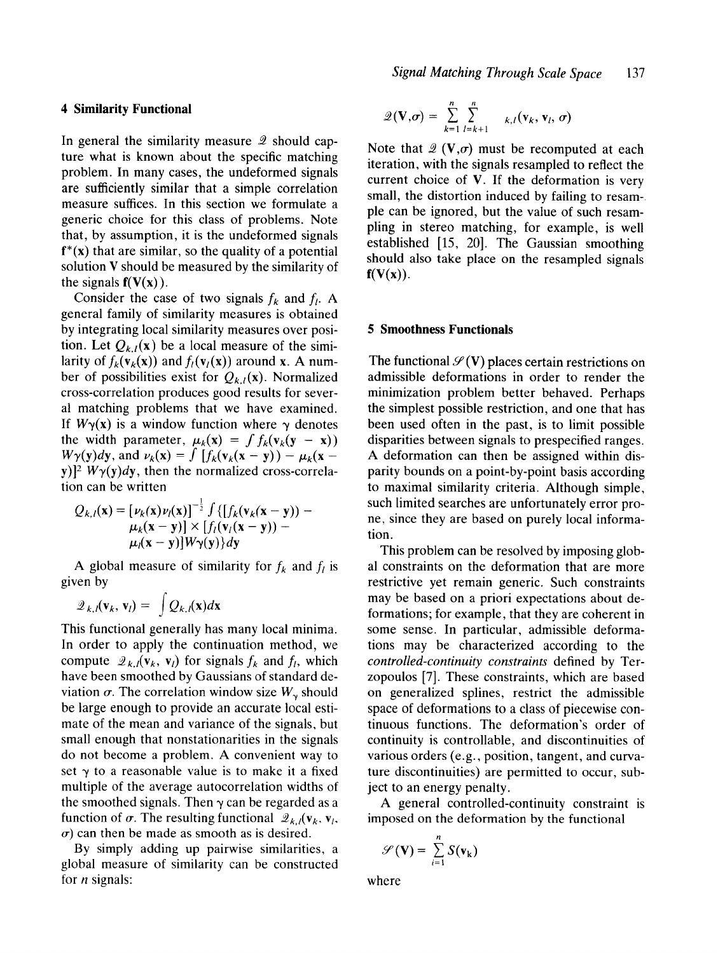## **4 Similarity Functional**

In general the similarity measure  $\mathcal{Q}$  should capture what is known about the specific matching problem. In many cases, the undeformed signals are sufficiently similar that a simple correlation measure suffices. In this section we formulate a generic choice for this class of problems. Note that, by assumption, it is the undeformed signals  $f^*(x)$  that are similar, so the quality of a potential solution V should be measured by the similarity of the signals  $f(V(x))$ .

Consider the case of two signals  $f_k$  and  $f_l$ . A general family of similarity measures is obtained by integrating local similarity measures over position. Let  $Q_{k,l}(x)$  be a local measure of the similarity of  $f_k(\mathbf{v}_k(\mathbf{x}))$  and  $f_l(\mathbf{v}_l(\mathbf{x}))$  around x. A number of possibilities exist for  $Q_{k,l}(\mathbf{x})$ . Normalized cross-correlation produces good results for several matching problems that we have examined. If  $W_{\gamma}(x)$  is a window function where  $\gamma$  denotes the width parameter,  $\mu_k(x) = \int f_k(v_k(y - x))$  $W\gamma(y)dy$ , and  $\nu_k(x) = \int [f_k(v_k(x - y)) - \mu_k(x - y)]$ y)]<sup>2</sup>  $W\gamma(y)dy$ , then the normalized cross-correlation can be written

$$
Q_{k,l}(\mathbf{x}) = \left[\nu_k(\mathbf{x})\nu_l(\mathbf{x})\right]^{-\frac{1}{2}} \int \left\{\left[f_k(\mathbf{v}_k(\mathbf{x}-\mathbf{y})) - \mu_k(\mathbf{x}-\mathbf{y})\right] \times \left[f_l(\mathbf{v}_l(\mathbf{x}-\mathbf{y})) - \mu_l(\mathbf{x}-\mathbf{y})\right] \mathbf{W} \mathbf{y}(\mathbf{y})\right\} d\mathbf{y}
$$

A global measure of similarity for  $f_k$  and  $f_l$  is given by

$$
Q_{k,l}(\mathbf{v}_k,\mathbf{v}_l)=\int Q_{k,l}(\mathbf{x})d\mathbf{x}
$$

This functional generally has many local minima. In order to apply the continuation method, we compute  $\mathcal{Q}_{k,l}(\mathbf{v}_k, \mathbf{v}_l)$  for signals  $f_k$  and  $f_l$ , which have been smoothed by Gaussians of standard deviation  $\sigma$ . The correlation window size  $W_{\gamma}$  should be large enough to provide an accurate local estimate of the mean and variance of the signals, but small enough that nonstationarities in the signals do not become a problem. A convenient way to set  $\gamma$  to a reasonable value is to make it a fixed multiple of the average autocorrelation widths of the smoothed signals. Then  $\gamma$  can be regarded as a function of  $\sigma$ . The resulting functional  $\mathcal{Q}_{k,l}(\mathbf{v}_k, \mathbf{v}_l)$ ,  $\sigma$ ) can then be made as smooth as is desired.

By simply adding up pairwise similarities, a global measure of similarity can be constructed for  $n$  signals:

$$
\mathcal{Q}(\mathbf{V}, \sigma) = \sum_{k=1}^n \sum_{l=k+1}^n \kappa_{l,l}(\mathbf{v}_k, \mathbf{v}_l, \sigma)
$$

Note that  $\mathcal{Q}(\mathbf{V}, \sigma)$  must be recomputed at each iteration, with the signals resampled to reflect the current choice of V. If the deformation is very small, the distortion induced by failing to resampie can be ignored, but the value of such resampiing in stereo matching, for example, is well established [15, 20]. The Gaussian smoothing should also take place on the resampled signals  $f(V(x))$ .

#### **5 Smoothness Functionals**

The functional  $\mathcal{S}(V)$  places certain restrictions on admissible deformations in order to render the minimization problem better behaved. Perhaps the simplest possible restriction, and one that has been used often in the past, is to limit possible disparities between signals to prespecified ranges. A deformation can then be assigned within disparity bounds on a point-by-point basis according to maximal similarity criteria. Although simple, such limited searches are unfortunately error prone, since they are based on purely local information.

This problem can be resolved by imposing global constraints on the deformation that are more restrictive yet remain generic. Such constraints may be based on a priori expectations about deformations; for example, that they are coherent in some sense. In particular, admissible deformations may be characterized according to the *controlled-continuity constraints* defined by Terzopoulos [7]. These constraints, which are based on generalized splines, restrict the admissible space of deformations to a class of piecewise continuous functions. The deformation's order of continuity is controllable, and discontinuities of various orders (e.g., position, tangent, and curvature discontinuities) are permitted to occur, subject to an energy penalty.

A general controlled-continuity constraint is imposed on the deformation by the functional

$$
\mathscr{S}(\mathbf{V}) = \sum_{i=1}^n S(\mathbf{v}_k)
$$

where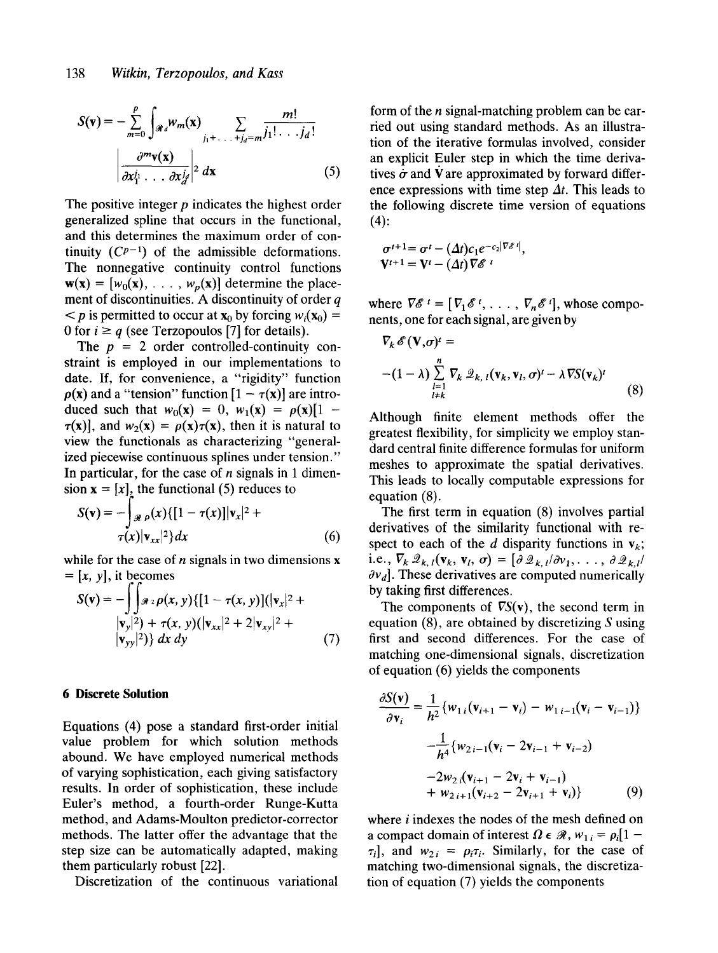$$
S(\mathbf{v}) = -\sum_{m=0}^{p} \int_{\mathcal{R}_d} w_m(\mathbf{x}) \sum_{j_1 + \ldots + j_d = m} \frac{m!}{j_1! \ldots j_d!}
$$

$$
\left| \frac{\partial^m \mathbf{v}(\mathbf{x})}{\partial x_1^{j_1} \ldots \partial x_d^{j_d}} \right|^{2} d\mathbf{x}
$$
(5)

The positive integer  $p$  indicates the highest order generalized spline that occurs in the functional, and this determines the maximum order of continuity  $(C^{p-1})$  of the admissible deformations. The nonnegative continuity control functions  $w(x) = [w_0(x), \ldots, w_p(x)]$  determine the placement of discontinuities. A discontinuity of order  $q$  $\langle p \rangle$  is permitted to occur at  $\mathbf{x}_0$  by forcing  $w_i(\mathbf{x}_0) =$ 0 for  $i \geq q$  (see Terzopoulos [7] for details).

The  $p = 2$  order controlled-continuity constraint is employed in our implementations to date. If, for convenience, a "rigidity" function  $\rho(x)$  and a "tension" function  $[1 - \tau(x)]$  are introduced such that  $w_0(x) = 0$ ,  $w_1(x) = \rho(x)[1 \tau(x)$ ], and  $w_2(x) = \rho(x)\tau(x)$ , then it is natural to view the functionals as characterizing "generalized piecewise continuous splines under tension." In particular, for the case of  $n$  signals in 1 dimension  $\mathbf{x} = [x]$ , the functional (5) reduces to

$$
S(\mathbf{v}) = -\int_{\mathcal{R}} \rho(x) \{ [1 - \tau(x)] |\mathbf{v}_x|^2 +
$$
  

$$
\tau(x) |\mathbf{v}_{xx}|^2 \} dx
$$
 (6)

while for the case of  $n$  signals in two dimensions  $x$  $=[x, y]$ , it becomes

$$
S(\mathbf{v}) = -\int_{\mathbf{v}_y} \int_{\mathbf{v}_z} \rho(x, y) \{ [1 - \tau(x, y)] (|\mathbf{v}_x|^2 + |\mathbf{v}_y|^2) + \tau(x, y) (|\mathbf{v}_{xx}|^2 + 2 |\mathbf{v}_{xy}|^2 + |\mathbf{v}_{yy}|^2) \} dx dy
$$
(7)

### **6 Discrete Solution**

Equations (4) pose a standard first-order initial value problem for which solution methods abound. We have employed numerical methods of varying sophistication, each giving satisfactory results. In order of sophistication, these include Euler's method, a fourth-order Runge-Kutta method, and Adams-Moulton predictor-corrector methods. The latter offer the advantage that the step size can be automatically adapted, making them particularly robust [22].

Discretization of the continuous variational

form of the *n* signal-matching problem can be carried out using standard methods. As an illustration of the iterative formulas involved, consider an explicit Euler step in which the time derivatives  $\dot{\sigma}$  and V are approximated by forward difference expressions with time step  $\Delta t$ . This leads to the following discrete time version of equations  $(4):$ 

$$
\sigma^{t+1} = \sigma^t - (\Delta t) c_1 e^{-c_2 |\nabla \mathscr{E}^t|},
$$
  

$$
\mathbf{V}^{t+1} = \mathbf{V}^t - (\Delta t) \nabla \mathscr{E}^{t}
$$

where  $\nabla \mathscr{E}^t = [\nabla_1 \mathscr{E}^t, \ldots, \nabla_n \mathscr{E}^t]$ , whose components, one for each signal, are given by

$$
\nabla_k \mathscr{E}(\mathbf{V}, \sigma)^t =
$$
  
 
$$
-(1 - \lambda) \sum_{\substack{l=1 \ l \neq k}}^n \nabla_k \mathscr{Q}_{k, l}(\mathbf{v}_k, \mathbf{v}_l, \sigma)^t - \lambda \nabla S(\mathbf{v}_k)^t
$$
 (8)

Although finite element methods offer the greatest flexibility, for simplicity we employ standard central finite difference formulas for uniform meshes to approximate the spatial derivatives. This leads to locally computable expressions for equation (8).

The first term in equation (8) involves partial derivatives of the similarity functional with respect to each of the d disparity functions in  $v_k$ ; i.e.,  $\nabla_k \mathscr{Q}_{k,l}(\mathbf{v}_k, \mathbf{v}_l, \sigma) = [\partial \mathscr{Q}_{k,l}/\partial v_1, \ldots, \partial \mathscr{Q}_{k,l}]$  $\partial v_d$ . These derivatives are computed numerically by taking first differences.

The components of  $\nabla S(v)$ , the second term in equation  $(8)$ , are obtained by discretizing S using first and second differences. For the case of matching one-dimensional signals, discretization of equation (6) yields the components

$$
\frac{\partial S(\mathbf{v})}{\partial \mathbf{v}_i} = \frac{1}{h^2} \{ w_{1i} (\mathbf{v}_{i+1} - \mathbf{v}_i) - w_{1i-1} (\mathbf{v}_i - \mathbf{v}_{i-1}) \}
$$

$$
- \frac{1}{h^4} \{ w_{2i-1} (\mathbf{v}_i - 2\mathbf{v}_{i-1} + \mathbf{v}_{i-2})
$$

$$
- 2w_{2i} (\mathbf{v}_{i+1} - 2\mathbf{v}_i + \mathbf{v}_{i-1})
$$

$$
+ w_{2i+1} (\mathbf{v}_{i+2} - 2\mathbf{v}_{i+1} + \mathbf{v}_i) \}
$$
(9)

where *i* indexes the nodes of the mesh defined on a compact domain of interest  $\Omega \in \mathcal{R}$ ,  $w_{1i} = \rho_i[1 - \frac{1}{2}a_i]$  $\tau_i$ , and  $w_{2i} = \rho_i \tau_i$ . Similarly, for the case of matching two-dimensional signals, the discretization of equation (7) yields the components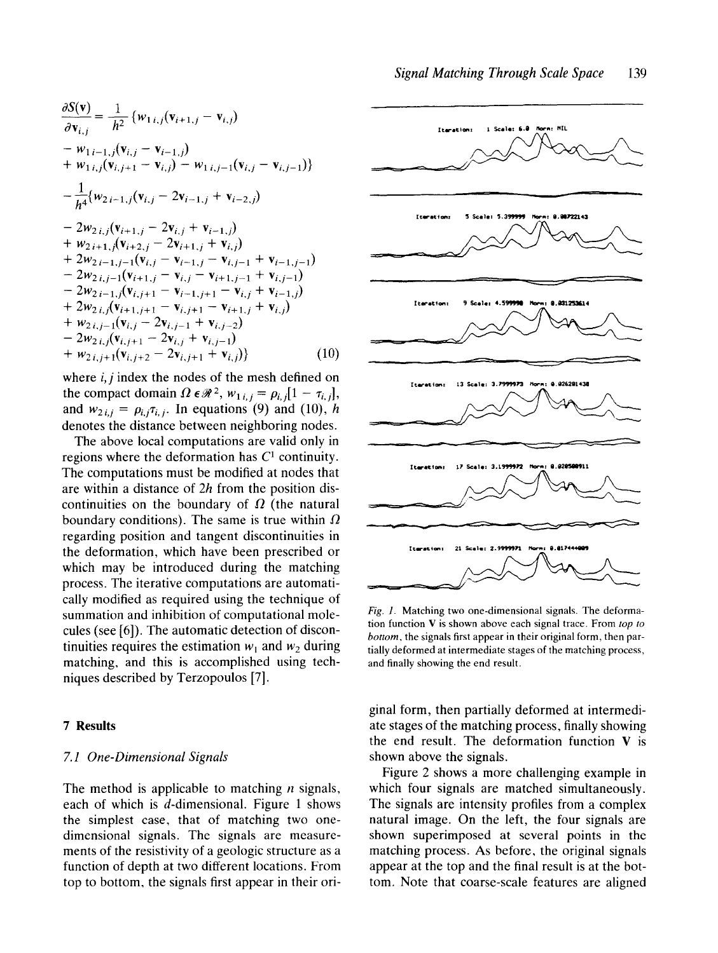$$
\frac{\partial S(\mathbf{v})}{\partial \mathbf{v}_{i,j}} = \frac{1}{h^2} \{ w_{1i,j} (\mathbf{v}_{i+1,j} - \mathbf{v}_{i,j}) \n- w_{1i-1,j} (\mathbf{v}_{i,j} - \mathbf{v}_{i-1,j}) \n+ w_{1i,j} (\mathbf{v}_{i,j+1} - \mathbf{v}_{i,j}) - w_{1i,j-1} (\mathbf{v}_{i,j} - \mathbf{v}_{i,j-1}) \} \n- \frac{1}{h^4} \{ w_{2i-1,j} (\mathbf{v}_{i,j} - 2\mathbf{v}_{i-1,j} + \mathbf{v}_{i-2,j}) \n- 2w_{2i,j} (\mathbf{v}_{i+1,j} - 2\mathbf{v}_{i,j} + \mathbf{v}_{i-1,j}) \n+ w_{2i+1,j} (\mathbf{v}_{i+2,j} - 2\mathbf{v}_{i+1,j} + \mathbf{v}_{i,j}) \n+ 2w_{2i-1,j-1} (\mathbf{v}_{i,j} - \mathbf{v}_{i-1,j} - \mathbf{v}_{i,j-1} + \mathbf{v}_{i-1,j-1}) \n- 2w_{2i,j-1} (\mathbf{v}_{i+1,j} - \mathbf{v}_{i,j} - \mathbf{v}_{i+1,j-1} + \mathbf{v}_{i,j-1}) \n- 2w_{2i-1,j} (\mathbf{v}_{i,j+1} - \mathbf{v}_{i-1,j+1} - \mathbf{v}_{i,j} + \mathbf{v}_{i-1,j}) \n+ 2w_{2i,j} (\mathbf{v}_{i+1,j+1} - \mathbf{v}_{i,j+1} - \mathbf{v}_{i+1,j} + \mathbf{v}_{i,j}) \n+ w_{2i,j-1} (\mathbf{v}_{i,j} - 2\mathbf{v}_{i,j-1} + \mathbf{v}_{i,j-2}) \n- 2w_{2i,j} (\mathbf{v}_{i,j+1} - 2\mathbf{v}_{i,j} + \mathbf{v}_{i,j-1}) \n+ w_{2i,j+1} (\mathbf{v}_{i,j+2} - 2\mathbf{v}_{i,j+1} + \mathbf{v}_{i,j})
$$
\n(10)

where  $i, j$  index the nodes of the mesh defined on the compact domain  $\Omega \epsilon \mathcal{R}^2$ ,  $w_{1,i,j} = \rho_{i,j} [1 - \tau_{i,j}],$ and  $w_{2i,j} = \rho_{i,j}\tau_{i,j}$ . In equations (9) and (10), h denotes the distance between neighboring nodes.

The above local computations are valid only in regions where the deformation has  $C<sup>1</sup>$  continuity. The computations must be modified at nodes that are within a distance of  $2h$  from the position discontinuities on the boundary of  $\Omega$  (the natural boundary conditions). The same is true within  $\Omega$ regarding position and tangent discontinuities in the deformation, which have been prescribed or which may be introduced during the matching process. The iterative computations are automatically modified as required using the technique of summation and inhibition of computational molecules (see [6]). The automatic detection of discontinuities requires the estimation  $w_1$  and  $w_2$  during matching, and this is accomplished using techniques described by Terzopoulos [7].

## **7 Results**

#### *7.10ne-DimensionalSignals*

The method is applicable to matching  $n$  signals, each of which is d-dimensional. Figure 1 shows the simplest case, that of matching two onedimensional signals. The signals are measurements of the resistivity of a geologic structure as a function of depth at two different locations. From top to bottom, the signals first appear in their ori-



*Fig. 1.* Matching two one-dimensional signals. The deformation function V is shown above each signal trace. From *top to bottom,* the signals first appear in their original form, then partially deformed at intermediate stages of the matching process, and finally showing the end result.

ginal form, then partially deformed at intermediate stages of the matching process, finally showing the end result. The deformation function  $V$  is shown above the signals.

Figure 2 shows a more challenging example in which four signals are matched simultaneously. The signals are intensity profiles from a complex natural image. On the left, the four signals are shown superimposed at several points in the matching process. As before, the original signals appear at the top and the final result is at the bottom. Note that coarse-scale features are aligned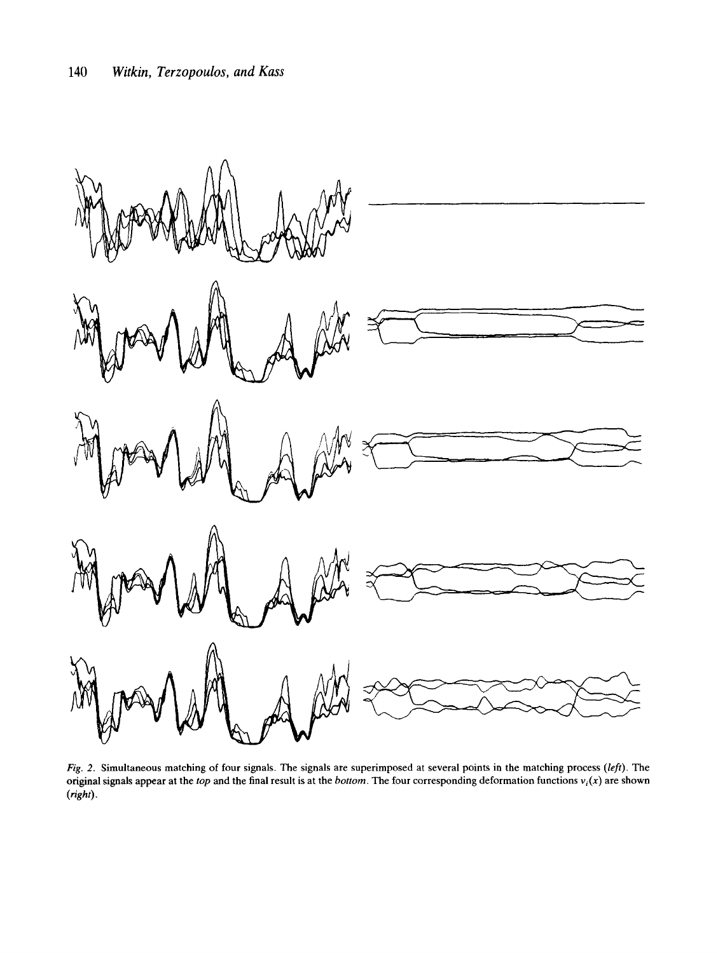

*Fig. 2.* Simultaneous matching of four signals. The signals are superimposed at several points in the matching process *(left).* The original signals appear at the *top* and the final result is at the *bottom.* The four corresponding deformation functions *vi(x)* are shown *(right).*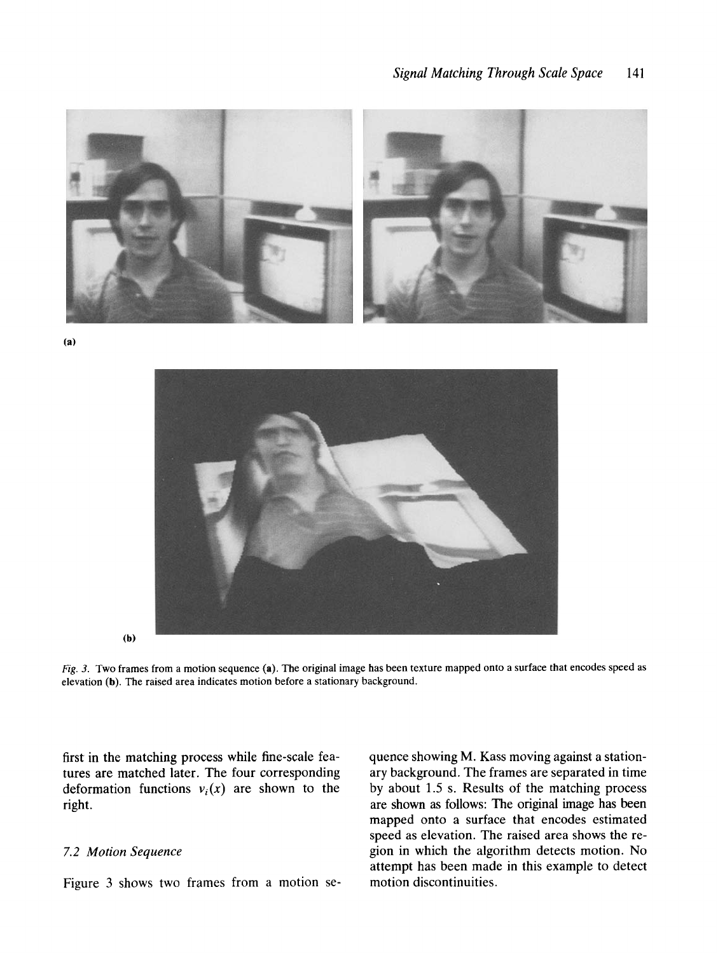

**(a)** 



(b)

*Fig. 3.* Two frames from a motion sequence (a). The original image has been texture mapped onto a surface that encodes speed as elevation (b). The raised area indicates motion before a stationary background.

first in the matching process while fine-scale features are matched later. The four corresponding deformation functions  $v_i(x)$  are shown to the right.

## *7.2 Motion Sequence*

Figure 3 shows two frames from a motion se-

quence showing M. Kass moving against a stationary background. The frames are separated in time by about 1.5 s. Results of the matching process are shown as follows: The original image has been mapped onto a surface that encodes estimated speed as elevation. The raised area shows the region in which the algorithm detects motion. No attempt has been made in this example to detect motion discontinuities.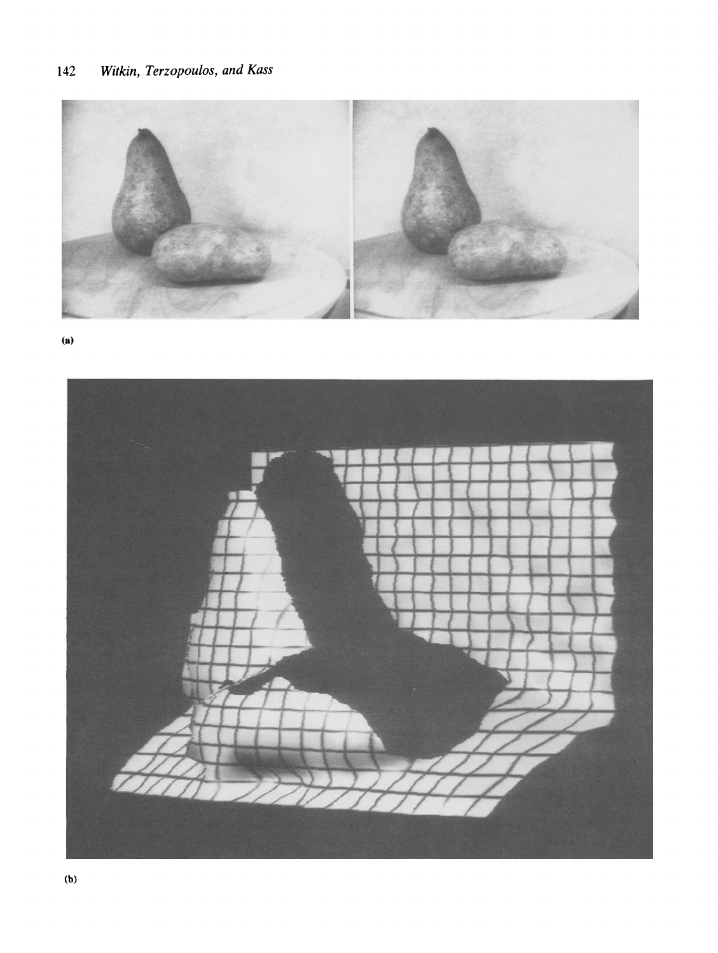

**(a)** 

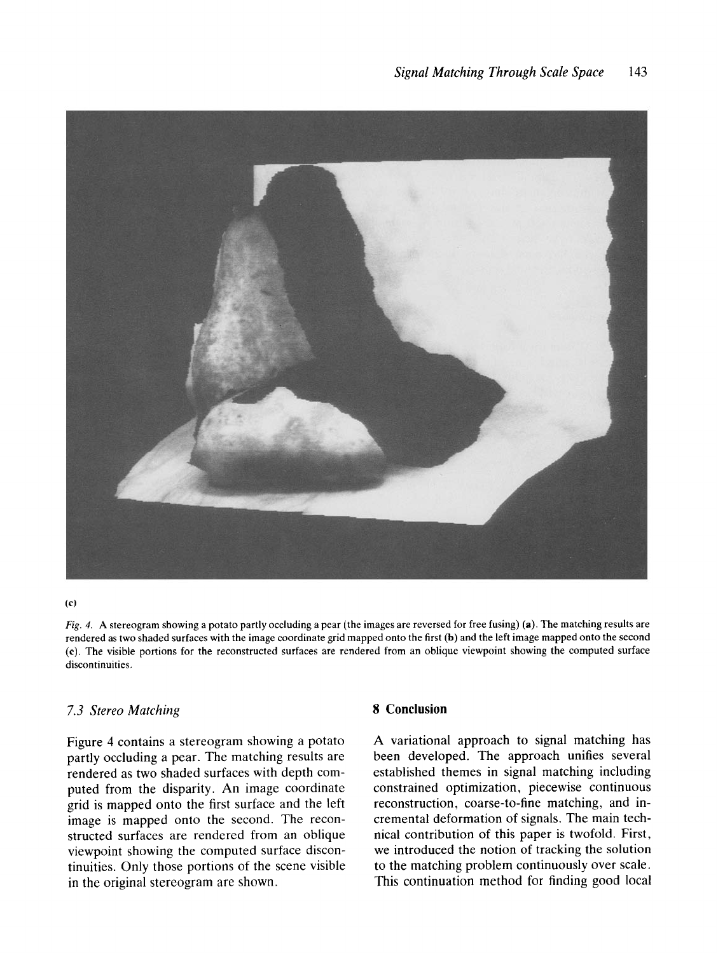

(c)

*Fig.* 4. A stereogram showing a potato partly occluding a pear (the images are reversed for free fusing) (a). The matching results are rendered as two shaded surfaces with the image coordinate grid mapped onto the first (b) and the left image mapped onto the second (c). The visible portions for the reconstructed surfaces are rendered from an oblique viewpoint showing the computed surface discontinuities.

## *7.3 Stereo Matching*

Figure 4 contains a stereogram showing a potato partly occluding a pear. The matching results are rendered as two shaded surfaces with depth computed from the disparity. An image coordinate grid is mapped onto the first surface and the left image is mapped onto the second. The reconstructed surfaces are rendered from an oblique viewpoint showing the computed surface discontinuities. Only those portions of the scene visible in the original stereogram are shown.

## **8 Conclusion**

A variational approach to signal matching has been developed. The approach unifies several established themes in signal matching including constrained optimization, piecewise continuous reconstruction, coarse-to-fine matching, and incremental deformation of signals. The main technical contribution of this paper is twofold. First, we introduced the notion of tracking the solution to the matching problem continuously over scale. This continuation method for finding good local